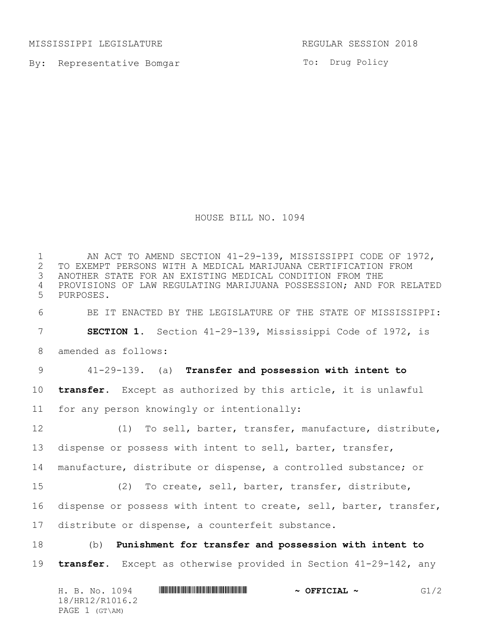MISSISSIPPI LEGISLATURE **REGULAR SESSION 2018** 

By: Representative Bomgar

To: Drug Policy

HOUSE BILL NO. 1094

1 AN ACT TO AMEND SECTION 41-29-139, MISSISSIPPI CODE OF 1972,<br>2 TO EXEMPT PERSONS WITH A MEDICAL MARIJUANA CERTIFICATION FROM 2 TO EXEMPT PERSONS WITH A MEDICAL MARIJUANA CERTIFICATION FROM<br>3 ANOTHER STATE FOR AN EXISTING MEDICAL CONDITION FROM THE ANOTHER STATE FOR AN EXISTING MEDICAL CONDITION FROM THE PROVISIONS OF LAW REGULATING MARIJUANA POSSESSION; AND FOR RELATED PURPOSES. BE IT ENACTED BY THE LEGISLATURE OF THE STATE OF MISSISSIPPI: **SECTION 1.** Section 41-29-139, Mississippi Code of 1972, is amended as follows: 41-29-139. (a) **Transfer and possession with intent to transfer.** Except as authorized by this article, it is unlawful for any person knowingly or intentionally: (1) To sell, barter, transfer, manufacture, distribute, dispense or possess with intent to sell, barter, transfer, manufacture, distribute or dispense, a controlled substance; or (2) To create, sell, barter, transfer, distribute, dispense or possess with intent to create, sell, barter, transfer, distribute or dispense, a counterfeit substance. (b) **Punishment for transfer and possession with intent to transfer.** Except as otherwise provided in Section 41-29-142, any

| H. B. No. 1094  | $\sim$ OFFICIAL $\sim$ | G1/2 |
|-----------------|------------------------|------|
| 18/HR12/R1016.2 |                        |      |
| PAGE 1 (GT\AM)  |                        |      |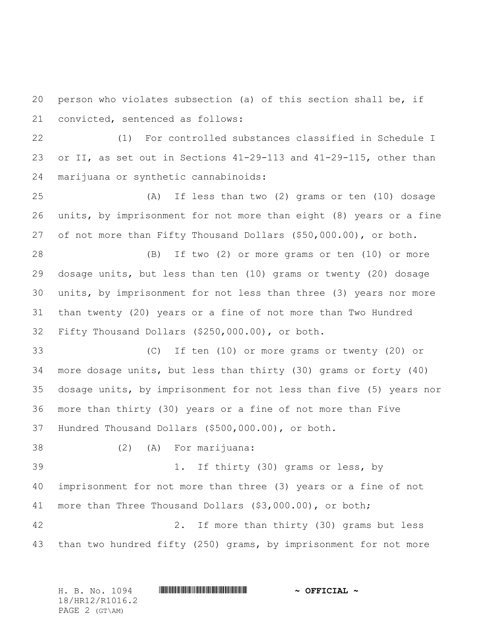person who violates subsection (a) of this section shall be, if convicted, sentenced as follows:

 (1) For controlled substances classified in Schedule I or II, as set out in Sections 41-29-113 and 41-29-115, other than marijuana or synthetic cannabinoids:

 (A) If less than two (2) grams or ten (10) dosage units, by imprisonment for not more than eight (8) years or a fine of not more than Fifty Thousand Dollars (\$50,000.00), or both.

 (B) If two (2) or more grams or ten (10) or more dosage units, but less than ten (10) grams or twenty (20) dosage units, by imprisonment for not less than three (3) years nor more than twenty (20) years or a fine of not more than Two Hundred Fifty Thousand Dollars (\$250,000.00), or both.

 (C) If ten (10) or more grams or twenty (20) or more dosage units, but less than thirty (30) grams or forty (40) dosage units, by imprisonment for not less than five (5) years nor more than thirty (30) years or a fine of not more than Five Hundred Thousand Dollars (\$500,000.00), or both.

 (2) (A) For marijuana: 1. If thirty (30) grams or less, by imprisonment for not more than three (3) years or a fine of not more than Three Thousand Dollars (\$3,000.00), or both; 2. If more than thirty (30) grams but less than two hundred fifty (250) grams, by imprisonment for not more

H. B. No. 1094 \*HR12/R1016.2\* **~ OFFICIAL ~** 18/HR12/R1016.2 PAGE 2 (GT\AM)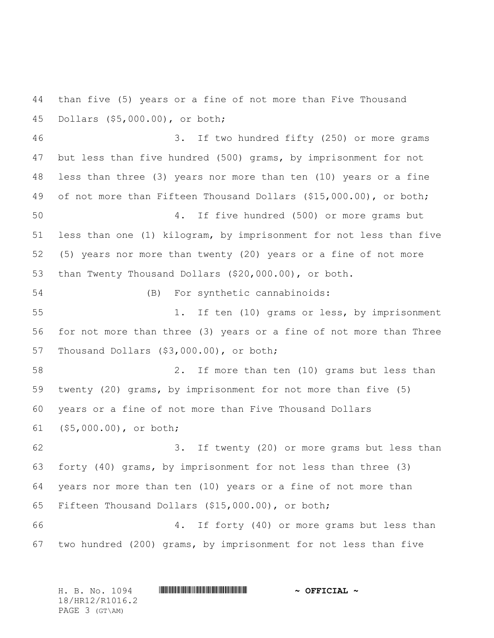than five (5) years or a fine of not more than Five Thousand Dollars (\$5,000.00), or both;

 3. If two hundred fifty (250) or more grams but less than five hundred (500) grams, by imprisonment for not less than three (3) years nor more than ten (10) years or a fine 49 of not more than Fifteen Thousand Dollars (\$15,000.00), or both; 4. If five hundred (500) or more grams but less than one (1) kilogram, by imprisonment for not less than five (5) years nor more than twenty (20) years or a fine of not more than Twenty Thousand Dollars (\$20,000.00), or both. (B) For synthetic cannabinoids: 1. If ten (10) grams or less, by imprisonment for not more than three (3) years or a fine of not more than Three Thousand Dollars (\$3,000.00), or both; 2. If more than ten (10) grams but less than twenty (20) grams, by imprisonment for not more than five (5) years or a fine of not more than Five Thousand Dollars (\$5,000.00), or both; 3. If twenty (20) or more grams but less than forty (40) grams, by imprisonment for not less than three (3) years nor more than ten (10) years or a fine of not more than Fifteen Thousand Dollars (\$15,000.00), or both; 4. If forty (40) or more grams but less than two hundred (200) grams, by imprisonment for not less than five

H. B. No. 1094 \*HR12/R1016.2\* **~ OFFICIAL ~** 18/HR12/R1016.2 PAGE 3 (GT\AM)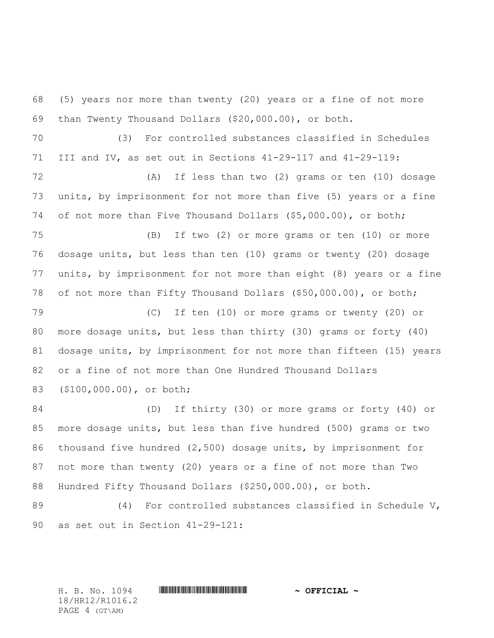(5) years nor more than twenty (20) years or a fine of not more than Twenty Thousand Dollars (\$20,000.00), or both.

 (3) For controlled substances classified in Schedules III and IV, as set out in Sections 41-29-117 and 41-29-119:

 (A) If less than two (2) grams or ten (10) dosage units, by imprisonment for not more than five (5) years or a fine of not more than Five Thousand Dollars (\$5,000.00), or both;

 (B) If two (2) or more grams or ten (10) or more dosage units, but less than ten (10) grams or twenty (20) dosage units, by imprisonment for not more than eight (8) years or a fine of not more than Fifty Thousand Dollars (\$50,000.00), or both;

 (C) If ten (10) or more grams or twenty (20) or more dosage units, but less than thirty (30) grams or forty (40) dosage units, by imprisonment for not more than fifteen (15) years or a fine of not more than One Hundred Thousand Dollars (\$100,000.00), or both;

 (D) If thirty (30) or more grams or forty (40) or more dosage units, but less than five hundred (500) grams or two thousand five hundred (2,500) dosage units, by imprisonment for not more than twenty (20) years or a fine of not more than Two Hundred Fifty Thousand Dollars (\$250,000.00), or both.

89 (4) For controlled substances classified in Schedule V, as set out in Section 41-29-121:

18/HR12/R1016.2 PAGE 4 (GT\AM)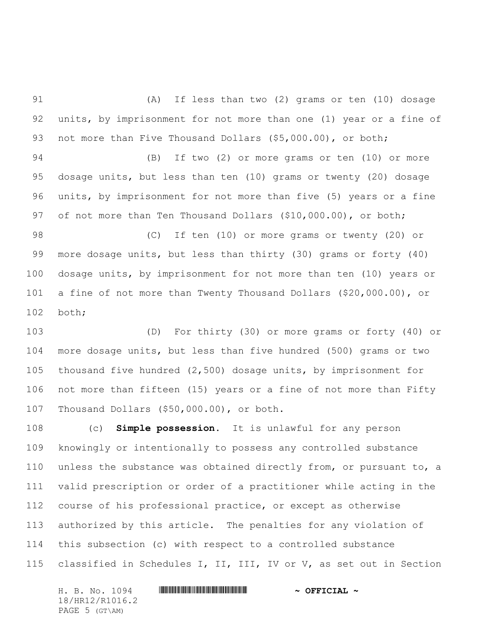(A) If less than two (2) grams or ten (10) dosage units, by imprisonment for not more than one (1) year or a fine of 93 not more than Five Thousand Dollars (\$5,000.00), or both;

 (B) If two (2) or more grams or ten (10) or more dosage units, but less than ten (10) grams or twenty (20) dosage units, by imprisonment for not more than five (5) years or a fine 97 of not more than Ten Thousand Dollars (\$10,000.00), or both;

 (C) If ten (10) or more grams or twenty (20) or more dosage units, but less than thirty (30) grams or forty (40) dosage units, by imprisonment for not more than ten (10) years or a fine of not more than Twenty Thousand Dollars (\$20,000.00), or both;

 (D) For thirty (30) or more grams or forty (40) or more dosage units, but less than five hundred (500) grams or two thousand five hundred (2,500) dosage units, by imprisonment for not more than fifteen (15) years or a fine of not more than Fifty Thousand Dollars (\$50,000.00), or both.

 (c) **Simple possession.** It is unlawful for any person knowingly or intentionally to possess any controlled substance unless the substance was obtained directly from, or pursuant to, a valid prescription or order of a practitioner while acting in the course of his professional practice, or except as otherwise authorized by this article. The penalties for any violation of this subsection (c) with respect to a controlled substance classified in Schedules I, II, III, IV or V, as set out in Section

H. B. No. 1094 \*HR12/R1016.2\* **~ OFFICIAL ~** 18/HR12/R1016.2 PAGE 5 (GT\AM)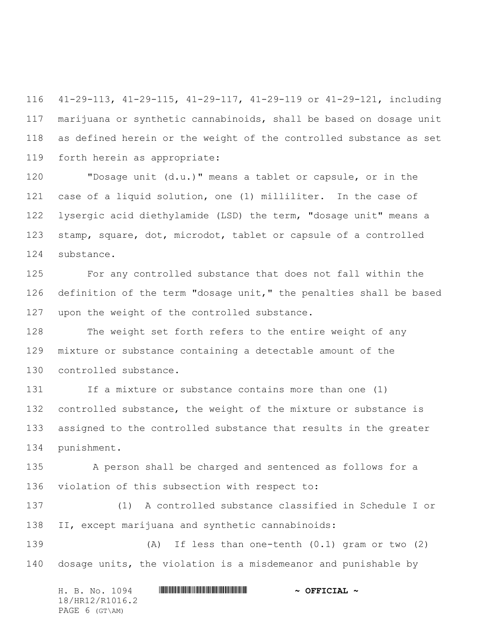41-29-113, 41-29-115, 41-29-117, 41-29-119 or 41-29-121, including marijuana or synthetic cannabinoids, shall be based on dosage unit as defined herein or the weight of the controlled substance as set forth herein as appropriate:

 "Dosage unit (d.u.)" means a tablet or capsule, or in the case of a liquid solution, one (1) milliliter. In the case of lysergic acid diethylamide (LSD) the term, "dosage unit" means a stamp, square, dot, microdot, tablet or capsule of a controlled substance.

 For any controlled substance that does not fall within the definition of the term "dosage unit," the penalties shall be based upon the weight of the controlled substance.

 The weight set forth refers to the entire weight of any mixture or substance containing a detectable amount of the controlled substance.

131 If a mixture or substance contains more than one (1) controlled substance, the weight of the mixture or substance is assigned to the controlled substance that results in the greater punishment.

 A person shall be charged and sentenced as follows for a violation of this subsection with respect to:

 (1) A controlled substance classified in Schedule I or II, except marijuana and synthetic cannabinoids:

 (A) If less than one-tenth (0.1) gram or two (2) dosage units, the violation is a misdemeanor and punishable by

H. B. No. 1094 \*HR12/R1016.2\* **~ OFFICIAL ~** 18/HR12/R1016.2 PAGE 6 (GT\AM)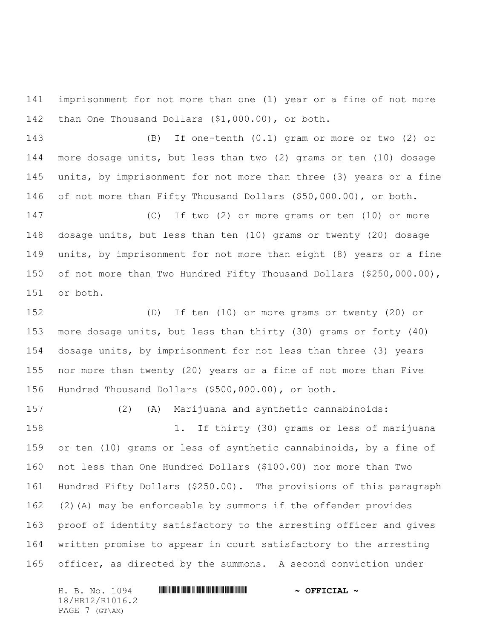imprisonment for not more than one (1) year or a fine of not more than One Thousand Dollars (\$1,000.00), or both.

 (B) If one-tenth (0.1) gram or more or two (2) or more dosage units, but less than two (2) grams or ten (10) dosage units, by imprisonment for not more than three (3) years or a fine of not more than Fifty Thousand Dollars (\$50,000.00), or both.

 (C) If two (2) or more grams or ten (10) or more dosage units, but less than ten (10) grams or twenty (20) dosage units, by imprisonment for not more than eight (8) years or a fine of not more than Two Hundred Fifty Thousand Dollars (\$250,000.00), or both.

 (D) If ten (10) or more grams or twenty (20) or more dosage units, but less than thirty (30) grams or forty (40) dosage units, by imprisonment for not less than three (3) years nor more than twenty (20) years or a fine of not more than Five Hundred Thousand Dollars (\$500,000.00), or both.

 (2) (A) Marijuana and synthetic cannabinoids: 1. If thirty (30) grams or less of marijuana or ten (10) grams or less of synthetic cannabinoids, by a fine of not less than One Hundred Dollars (\$100.00) nor more than Two Hundred Fifty Dollars (\$250.00). The provisions of this paragraph (2)(A) may be enforceable by summons if the offender provides proof of identity satisfactory to the arresting officer and gives written promise to appear in court satisfactory to the arresting officer, as directed by the summons. A second conviction under

H. B. No. 1094 \*HR12/R1016.2\* **~ OFFICIAL ~** 18/HR12/R1016.2 PAGE 7 (GT\AM)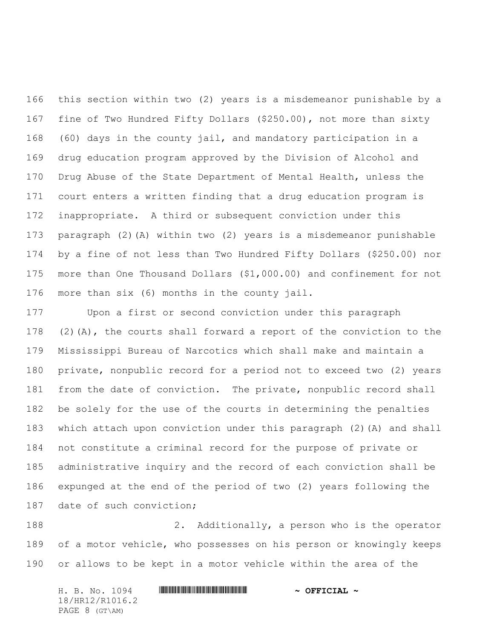this section within two (2) years is a misdemeanor punishable by a fine of Two Hundred Fifty Dollars (\$250.00), not more than sixty (60) days in the county jail, and mandatory participation in a drug education program approved by the Division of Alcohol and Drug Abuse of the State Department of Mental Health, unless the court enters a written finding that a drug education program is inappropriate. A third or subsequent conviction under this paragraph (2)(A) within two (2) years is a misdemeanor punishable by a fine of not less than Two Hundred Fifty Dollars (\$250.00) nor more than One Thousand Dollars (\$1,000.00) and confinement for not more than six (6) months in the county jail.

 Upon a first or second conviction under this paragraph (2)(A), the courts shall forward a report of the conviction to the Mississippi Bureau of Narcotics which shall make and maintain a private, nonpublic record for a period not to exceed two (2) years from the date of conviction. The private, nonpublic record shall be solely for the use of the courts in determining the penalties which attach upon conviction under this paragraph (2)(A) and shall not constitute a criminal record for the purpose of private or administrative inquiry and the record of each conviction shall be expunged at the end of the period of two (2) years following the date of such conviction;

 2. Additionally, a person who is the operator of a motor vehicle, who possesses on his person or knowingly keeps or allows to be kept in a motor vehicle within the area of the

H. B. No. 1094 \*HR12/R1016.2\* **~ OFFICIAL ~** 18/HR12/R1016.2 PAGE 8 (GT\AM)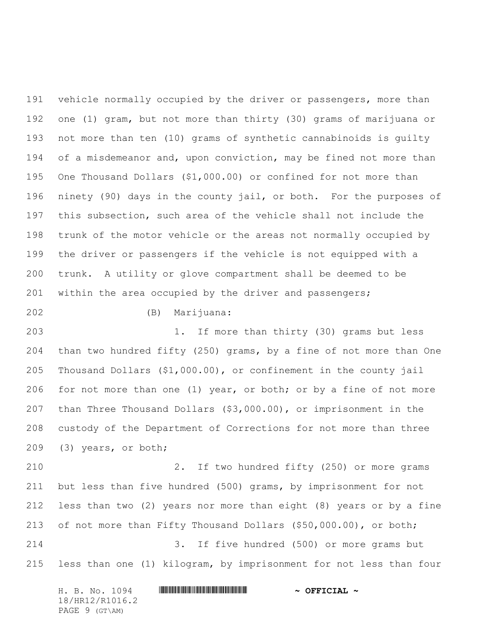191 vehicle normally occupied by the driver or passengers, more than one (1) gram, but not more than thirty (30) grams of marijuana or not more than ten (10) grams of synthetic cannabinoids is guilty 194 of a misdemeanor and, upon conviction, may be fined not more than One Thousand Dollars (\$1,000.00) or confined for not more than ninety (90) days in the county jail, or both. For the purposes of this subsection, such area of the vehicle shall not include the trunk of the motor vehicle or the areas not normally occupied by the driver or passengers if the vehicle is not equipped with a trunk. A utility or glove compartment shall be deemed to be 201 within the area occupied by the driver and passengers;

(B) Marijuana:

 1. If more than thirty (30) grams but less than two hundred fifty (250) grams, by a fine of not more than One Thousand Dollars (\$1,000.00), or confinement in the county jail for not more than one (1) year, or both; or by a fine of not more than Three Thousand Dollars (\$3,000.00), or imprisonment in the custody of the Department of Corrections for not more than three (3) years, or both;

 2. If two hundred fifty (250) or more grams but less than five hundred (500) grams, by imprisonment for not less than two (2) years nor more than eight (8) years or by a fine of not more than Fifty Thousand Dollars (\$50,000.00), or both; 3. If five hundred (500) or more grams but

less than one (1) kilogram, by imprisonment for not less than four

H. B. No. 1094 \*HR12/R1016.2\* **~ OFFICIAL ~** 18/HR12/R1016.2 PAGE 9 (GT\AM)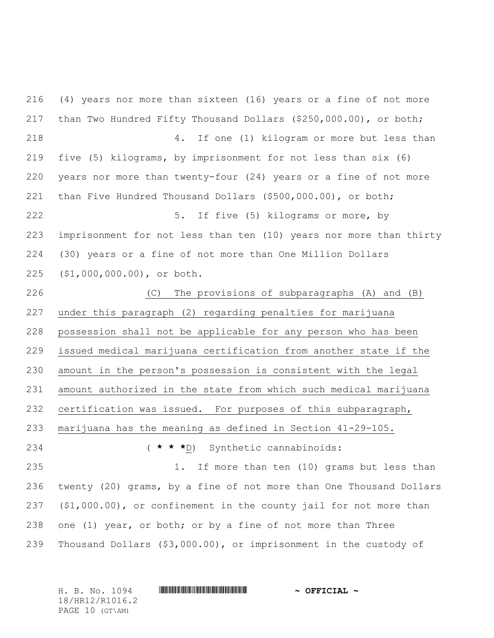(4) years nor more than sixteen (16) years or a fine of not more than Two Hundred Fifty Thousand Dollars (\$250,000.00), or both; 4. If one (1) kilogram or more but less than five (5) kilograms, by imprisonment for not less than six (6) years nor more than twenty-four (24) years or a fine of not more than Five Hundred Thousand Dollars (\$500,000.00), or both; 5. If five (5) kilograms or more, by imprisonment for not less than ten (10) years nor more than thirty (30) years or a fine of not more than One Million Dollars (\$1,000,000.00), or both. (C) The provisions of subparagraphs (A) and (B) under this paragraph (2) regarding penalties for marijuana possession shall not be applicable for any person who has been issued medical marijuana certification from another state if the amount in the person's possession is consistent with the legal amount authorized in the state from which such medical marijuana certification was issued. For purposes of this subparagraph, marijuana has the meaning as defined in Section 41-29-105. ( **\* \* \***D) Synthetic cannabinoids: 1. If more than ten (10) grams but less than twenty (20) grams, by a fine of not more than One Thousand Dollars (\$1,000.00), or confinement in the county jail for not more than one (1) year, or both; or by a fine of not more than Three Thousand Dollars (\$3,000.00), or imprisonment in the custody of

H. B. No. 1094 \*HR12/R1016.2\* **~ OFFICIAL ~** 18/HR12/R1016.2 PAGE 10 (GT\AM)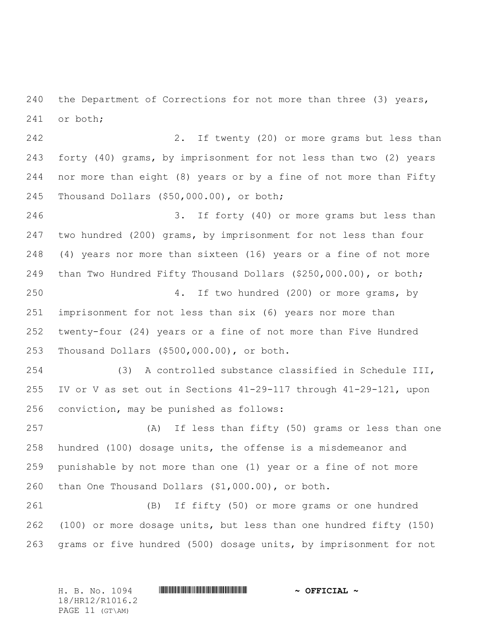240 the Department of Corrections for not more than three (3) years, or both;

 2. If twenty (20) or more grams but less than forty (40) grams, by imprisonment for not less than two (2) years nor more than eight (8) years or by a fine of not more than Fifty Thousand Dollars (\$50,000.00), or both;

 3. If forty (40) or more grams but less than two hundred (200) grams, by imprisonment for not less than four (4) years nor more than sixteen (16) years or a fine of not more than Two Hundred Fifty Thousand Dollars (\$250,000.00), or both; 4. If two hundred (200) or more grams, by imprisonment for not less than six (6) years nor more than twenty-four (24) years or a fine of not more than Five Hundred Thousand Dollars (\$500,000.00), or both.

 (3) A controlled substance classified in Schedule III, IV or V as set out in Sections 41-29-117 through 41-29-121, upon conviction, may be punished as follows:

 (A) If less than fifty (50) grams or less than one hundred (100) dosage units, the offense is a misdemeanor and punishable by not more than one (1) year or a fine of not more than One Thousand Dollars (\$1,000.00), or both.

 (B) If fifty (50) or more grams or one hundred (100) or more dosage units, but less than one hundred fifty (150) grams or five hundred (500) dosage units, by imprisonment for not

| H. B. No. 1094  | $\sim$ OFFICIAL $\sim$ |
|-----------------|------------------------|
| 18/HR12/R1016.2 |                        |
| PAGE 11 (GT\AM) |                        |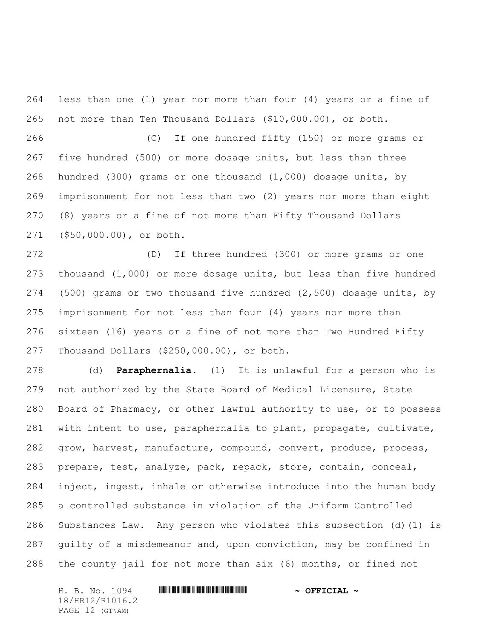less than one (1) year nor more than four (4) years or a fine of not more than Ten Thousand Dollars (\$10,000.00), or both.

 (C) If one hundred fifty (150) or more grams or five hundred (500) or more dosage units, but less than three hundred (300) grams or one thousand (1,000) dosage units, by imprisonment for not less than two (2) years nor more than eight (8) years or a fine of not more than Fifty Thousand Dollars (\$50,000.00), or both.

 (D) If three hundred (300) or more grams or one thousand (1,000) or more dosage units, but less than five hundred (500) grams or two thousand five hundred (2,500) dosage units, by imprisonment for not less than four (4) years nor more than sixteen (16) years or a fine of not more than Two Hundred Fifty Thousand Dollars (\$250,000.00), or both.

 (d) **Paraphernalia.** (1) It is unlawful for a person who is not authorized by the State Board of Medical Licensure, State Board of Pharmacy, or other lawful authority to use, or to possess with intent to use, paraphernalia to plant, propagate, cultivate, 282 grow, harvest, manufacture, compound, convert, produce, process, prepare, test, analyze, pack, repack, store, contain, conceal, inject, ingest, inhale or otherwise introduce into the human body a controlled substance in violation of the Uniform Controlled Substances Law. Any person who violates this subsection (d)(1) is guilty of a misdemeanor and, upon conviction, may be confined in the county jail for not more than six (6) months, or fined not

H. B. No. 1094 \*HR12/R1016.2\* **~ OFFICIAL ~** 18/HR12/R1016.2 PAGE 12 (GT\AM)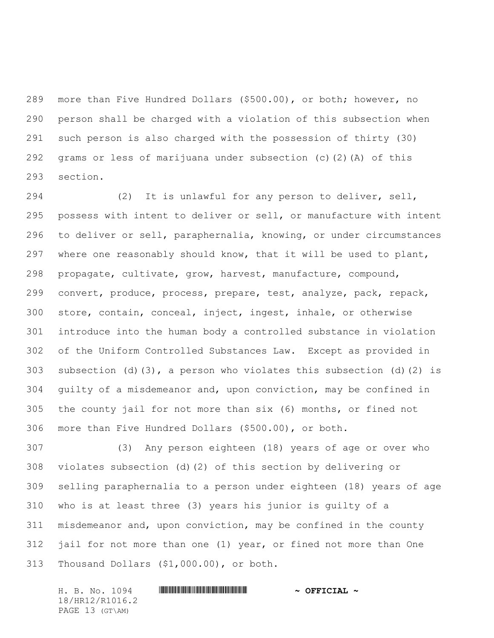more than Five Hundred Dollars (\$500.00), or both; however, no person shall be charged with a violation of this subsection when such person is also charged with the possession of thirty (30) grams or less of marijuana under subsection (c)(2)(A) of this section.

 (2) It is unlawful for any person to deliver, sell, possess with intent to deliver or sell, or manufacture with intent to deliver or sell, paraphernalia, knowing, or under circumstances where one reasonably should know, that it will be used to plant, propagate, cultivate, grow, harvest, manufacture, compound, convert, produce, process, prepare, test, analyze, pack, repack, store, contain, conceal, inject, ingest, inhale, or otherwise introduce into the human body a controlled substance in violation of the Uniform Controlled Substances Law. Except as provided in subsection (d)(3), a person who violates this subsection (d)(2) is guilty of a misdemeanor and, upon conviction, may be confined in the county jail for not more than six (6) months, or fined not more than Five Hundred Dollars (\$500.00), or both.

 (3) Any person eighteen (18) years of age or over who violates subsection (d)(2) of this section by delivering or selling paraphernalia to a person under eighteen (18) years of age who is at least three (3) years his junior is guilty of a misdemeanor and, upon conviction, may be confined in the county jail for not more than one (1) year, or fined not more than One Thousand Dollars (\$1,000.00), or both.

H. B. No. 1094 \*HR12/R1016.2\* **~ OFFICIAL ~** 18/HR12/R1016.2 PAGE 13 (GT\AM)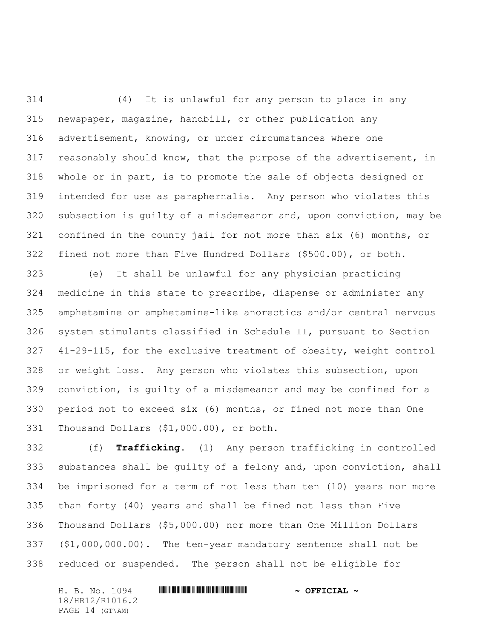(4) It is unlawful for any person to place in any newspaper, magazine, handbill, or other publication any advertisement, knowing, or under circumstances where one reasonably should know, that the purpose of the advertisement, in whole or in part, is to promote the sale of objects designed or intended for use as paraphernalia. Any person who violates this subsection is guilty of a misdemeanor and, upon conviction, may be confined in the county jail for not more than six (6) months, or fined not more than Five Hundred Dollars (\$500.00), or both.

 (e) It shall be unlawful for any physician practicing medicine in this state to prescribe, dispense or administer any amphetamine or amphetamine-like anorectics and/or central nervous system stimulants classified in Schedule II, pursuant to Section 41-29-115, for the exclusive treatment of obesity, weight control or weight loss. Any person who violates this subsection, upon conviction, is guilty of a misdemeanor and may be confined for a period not to exceed six (6) months, or fined not more than One Thousand Dollars (\$1,000.00), or both.

 (f) **Trafficking.** (1) Any person trafficking in controlled substances shall be guilty of a felony and, upon conviction, shall be imprisoned for a term of not less than ten (10) years nor more than forty (40) years and shall be fined not less than Five Thousand Dollars (\$5,000.00) nor more than One Million Dollars (\$1,000,000.00). The ten-year mandatory sentence shall not be reduced or suspended. The person shall not be eligible for

H. B. No. 1094 \*HR12/R1016.2\* **~ OFFICIAL ~** 18/HR12/R1016.2 PAGE 14 (GT\AM)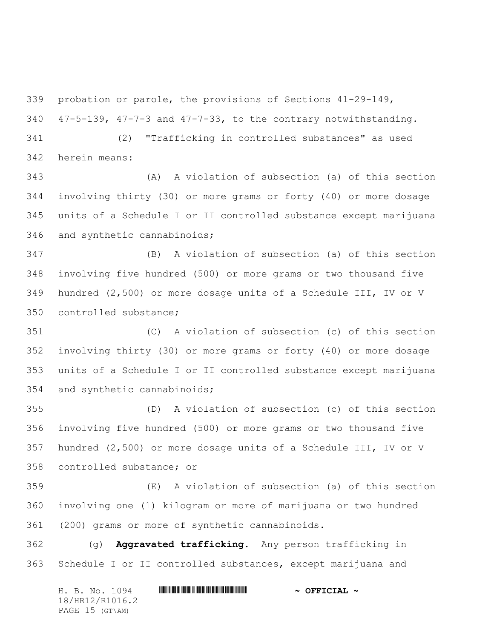probation or parole, the provisions of Sections 41-29-149,

47-5-139, 47-7-3 and 47-7-33, to the contrary notwithstanding.

 (2) "Trafficking in controlled substances" as used herein means:

 (A) A violation of subsection (a) of this section involving thirty (30) or more grams or forty (40) or more dosage units of a Schedule I or II controlled substance except marijuana and synthetic cannabinoids;

 (B) A violation of subsection (a) of this section involving five hundred (500) or more grams or two thousand five hundred (2,500) or more dosage units of a Schedule III, IV or V controlled substance;

 (C) A violation of subsection (c) of this section involving thirty (30) or more grams or forty (40) or more dosage units of a Schedule I or II controlled substance except marijuana and synthetic cannabinoids;

 (D) A violation of subsection (c) of this section involving five hundred (500) or more grams or two thousand five hundred (2,500) or more dosage units of a Schedule III, IV or V controlled substance; or

 (E) A violation of subsection (a) of this section involving one (1) kilogram or more of marijuana or two hundred (200) grams or more of synthetic cannabinoids.

 (g) **Aggravated trafficking.** Any person trafficking in Schedule I or II controlled substances, except marijuana and

H. B. No. 1094 \*HR12/R1016.2\* **~ OFFICIAL ~** 18/HR12/R1016.2 PAGE 15 (GT\AM)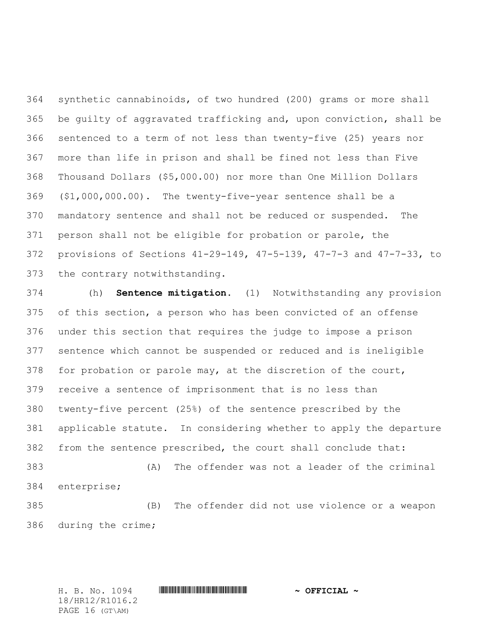synthetic cannabinoids, of two hundred (200) grams or more shall be guilty of aggravated trafficking and, upon conviction, shall be sentenced to a term of not less than twenty-five (25) years nor more than life in prison and shall be fined not less than Five Thousand Dollars (\$5,000.00) nor more than One Million Dollars (\$1,000,000.00). The twenty-five-year sentence shall be a mandatory sentence and shall not be reduced or suspended. The person shall not be eligible for probation or parole, the provisions of Sections 41-29-149, 47-5-139, 47-7-3 and 47-7-33, to the contrary notwithstanding.

 (h) **Sentence mitigation.** (1) Notwithstanding any provision of this section, a person who has been convicted of an offense under this section that requires the judge to impose a prison sentence which cannot be suspended or reduced and is ineligible for probation or parole may, at the discretion of the court, receive a sentence of imprisonment that is no less than twenty-five percent (25%) of the sentence prescribed by the applicable statute. In considering whether to apply the departure from the sentence prescribed, the court shall conclude that: (A) The offender was not a leader of the criminal enterprise; (B) The offender did not use violence or a weapon

during the crime;

H. B. No. 1094 \*HR12/R1016.2\* **~ OFFICIAL ~** 18/HR12/R1016.2 PAGE 16 (GT\AM)